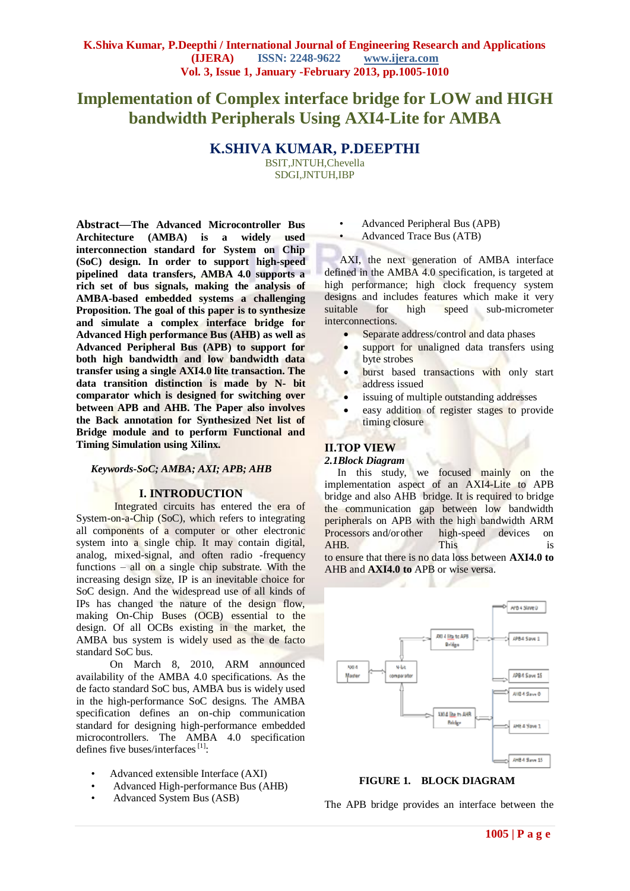# **Implementation of Complex interface bridge for LOW and HIGH bandwidth Peripherals Using AXI4-Lite for AMBA**

**K.SHIVA KUMAR, P.DEEPTHI**

BSIT,JNTUH,Chevella SDGI,JNTUH,IBP

**Abstract—The Advanced Microcontroller Bus Architecture (AMBA) is a widely used interconnection standard for System on Chip (SoC) design. In order to support high-speed pipelined data transfers, AMBA 4.0 supports a rich set of bus signals, making the analysis of AMBA-based embedded systems a challenging Proposition. The goal of this paper is to synthesize and simulate a complex interface bridge for Advanced High performance Bus (AHB) as well as Advanced Peripheral Bus (APB) to support for both high bandwidth and low bandwidth data transfer using a single AXI4.0 lite transaction. The data transition distinction is made by N- bit comparator which is designed for switching over between APB and AHB. The Paper also involves the Back annotation for Synthesized Net list of Bridge module and to perform Functional and Timing Simulation using Xilinx.**

## *Keywords-SoC; AMBA; AXI; APB; AHB*

## **I. INTRODUCTION**

Integrated circuits has entered the era of System-on-a-Chip (SoC), which refers to integrating all components of a computer or other electronic system into a single chip. It may contain digital, analog, mixed-signal, and often radio -frequency functions – all on a single chip substrate. With the increasing design size, IP is an inevitable choice for SoC design. And the widespread use of all kinds of IPs has changed the nature of the design flow, making On-Chip Buses (OCB) essential to the design. Of all OCBs existing in the market, the AMBA bus system is widely used as the de facto standard SoC bus.

On March 8, 2010, ARM announced availability of the AMBA 4.0 specifications. As the de facto standard SoC bus, AMBA bus is widely used in the high-performance SoC designs. The AMBA specification defines an on-chip communication standard for designing high-performance embedded microcontrollers. The AMBA 4.0 specification defines five buses/interfaces $[1]$ :

- Advanced extensible Interface (AXI)
- Advanced High-performance Bus (AHB)
- Advanced System Bus (ASB)
- Advanced Peripheral Bus (APB)
- Advanced Trace Bus (ATB)

AXI, the next generation of AMBA interface defined in the AMBA 4.0 specification, is targeted at high performance; high clock frequency system designs and includes features which make it very suitable for high speed sub-micrometer interconnections.

- Separate address/control and data phases
- support for unaligned data transfers using byte strobes
- **•** burst based transactions with only start address issued
- issuing of multiple outstanding addresses
- easy addition of register stages to provide timing closure

## **II.TOP VIEW**

#### *2.1Block Diagram*

In this study, we focused mainly on the implementation aspect of an AXI4-Lite to APB bridge and also AHB bridge. It is required to bridge the communication gap between low bandwidth peripherals on APB with the high bandwidth ARM Processors and/or other high-speed devices on AHB. This is to ensure that there is no data loss between **AXI4.0 to** AHB and **AXI4.0 to** APB or wise versa.



## **FIGURE 1. BLOCK DIAGRAM**

The APB bridge provides an interface between the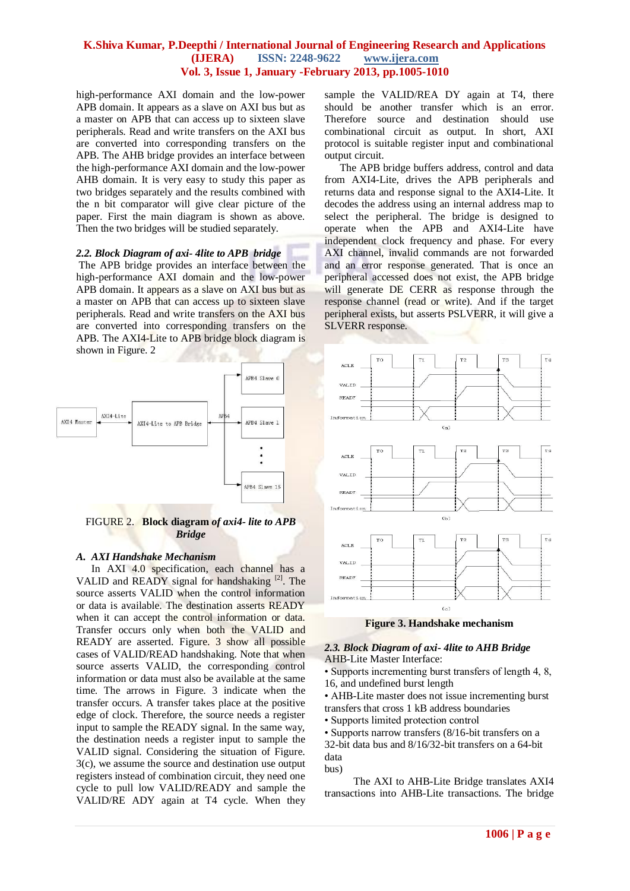high-performance AXI domain and the low-power APB domain. It appears as a slave on AXI bus but as a master on APB that can access up to sixteen slave peripherals. Read and write transfers on the AXI bus are converted into corresponding transfers on the APB. The AHB bridge provides an interface between the high-performance AXI domain and the low-power AHB domain. It is very easy to study this paper as two bridges separately and the results combined with the n bit comparator will give clear picture of the paper. First the main diagram is shown as above. Then the two bridges will be studied separately.

#### *2.2. Block Diagram of axi- 4lite to APB bridge*

The APB bridge provides an interface between the high-performance AXI domain and the low-power APB domain. It appears as a slave on AXI bus but as a master on APB that can access up to sixteen slave peripherals. Read and write transfers on the AXI bus are converted into corresponding transfers on the APB. The AXI4-Lite to APB bridge block diagram is shown in Figure. 2



#### FIGURE 2. **Block diagram** *of axi4- lite to APB Bridge*

#### *A. AXI Handshake Mechanism*

In AXI 4.0 specification, each channel has a VALID and READY signal for handshaking [2]. The source asserts VALID when the control information or data is available. The destination asserts READY when it can accept the control information or data. Transfer occurs only when both the VALID and READY are asserted. Figure. 3 show all possible cases of VALID/READ handshaking. Note that when source asserts VALID, the corresponding control information or data must also be available at the same time. The arrows in Figure. 3 indicate when the transfer occurs. A transfer takes place at the positive edge of clock. Therefore, the source needs a register input to sample the READY signal. In the same way, the destination needs a register input to sample the VALID signal. Considering the situation of Figure. 3(c), we assume the source and destination use output registers instead of combination circuit, they need one cycle to pull low VALID/READY and sample the VALID/RE ADY again at T4 cycle. When they

sample the VALID/REA DY again at T4, there should be another transfer which is an error. Therefore source and destination should use combinational circuit as output. In short, AXI protocol is suitable register input and combinational output circuit.

The APB bridge buffers address, control and data from AXI4-Lite, drives the APB peripherals and returns data and response signal to the AXI4-Lite. It decodes the address using an internal address map to select the peripheral. The bridge is designed to operate when the APB and AXI4-Lite have independent clock frequency and phase. For every AXI channel, invalid commands are not forwarded and an error response generated. That is once an peripheral accessed does not exist, the APB bridge will generate DE CERR as response through the response channel (read or write). And if the target peripheral exists, but asserts PSLVERR, it will give a SLVERR response.



**Figure 3. Handshake mechanism**

#### *2.3. Block Diagram of axi- 4lite to AHB Bridge* AHB-Lite Master Interface:

• Supports incrementing burst transfers of length 4, 8, 16, and undefined burst length

• AHB-Lite master does not issue incrementing burst transfers that cross 1 kB address boundaries • Supports limited protection control

• Supports narrow transfers (8/16-bit transfers on a 32-bit data bus and 8/16/32-bit transfers on a 64-bit data

bus)

 The AXI to AHB-Lite Bridge translates AXI4 transactions into AHB-Lite transactions. The bridge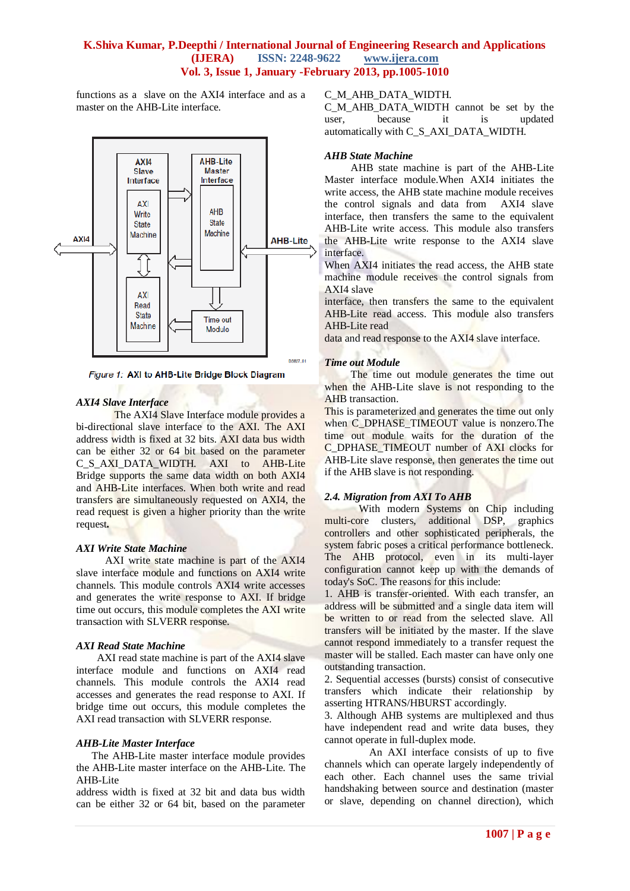functions as a slave on the AXI4 interface and as a master on the AHB-Lite interface.



Figure 1: AXI to AHB-Lite Bridge Block Diagram

## *AXI4 Slave Interface*

The AXI4 Slave Interface module provides a bi-directional slave interface to the AXI. The AXI address width is fixed at 32 bits. AXI data bus width can be either 32 or 64 bit based on the parameter C\_S\_AXI\_DATA\_WIDTH. AXI to AHB-Lite Bridge supports the same data width on both AXI4 and AHB-Lite interfaces. When both write and read transfers are simultaneously requested on AXI4, the read request is given a higher priority than the write request*.*

## *AXI Write State Machine*

 AXI write state machine is part of the AXI4 slave interface module and functions on AXI4 write channels. This module controls AXI4 write accesses and generates the write response to AXI. If bridge time out occurs, this module completes the AXI write transaction with SLVERR response.

## *AXI Read State Machine*

 AXI read state machine is part of the AXI4 slave interface module and functions on AXI4 read channels. This module controls the AXI4 read accesses and generates the read response to AXI. If bridge time out occurs, this module completes the AXI read transaction with SLVERR response.

## *AHB-Lite Master Interface*

 The AHB-Lite master interface module provides the AHB-Lite master interface on the AHB-Lite. The AHB-Lite

address width is fixed at 32 bit and data bus width can be either 32 or 64 bit, based on the parameter

## C\_M\_AHB\_DATA\_WIDTH.

C\_M\_AHB\_DATA\_WIDTH cannot be set by the user, because it is updated automatically with C\_S\_AXI\_DATA\_WIDTH.

## *AHB State Machine*

 AHB state machine is part of the AHB-Lite Master interface module.When AXI4 initiates the write access, the AHB state machine module receives the control signals and data from AXI4 slave interface, then transfers the same to the equivalent AHB-Lite write access. This module also transfers the AHB-Lite write response to the AXI4 slave interface.

When AXI4 initiates the read access, the AHB state machine module receives the control signals from AXI4 slave

interface, then transfers the same to the equivalent AHB-Lite read access. This module also transfers AHB-Lite read

data and read response to the AXI4 slave interface.

## *Time out Module*

The time out module generates the time out when the AHB-Lite slave is not responding to the AHB transaction.

This is parameterized and generates the time out only when C\_DPHASE\_TIMEOUT value is nonzero.The time out module waits for the duration of the C\_DPHASE\_TIMEOUT number of AXI clocks for AHB-Lite slave response, then generates the time out if the AHB slave is not responding.

# *2.4. Migration from AXI To AHB*

 With modern Systems on Chip including multi-core clusters, additional DSP, graphics controllers and other sophisticated peripherals, the system fabric poses a critical performance bottleneck. The AHB protocol, even in its multi-layer configuration cannot keep up with the demands of today's SoC. The reasons for this include:

1. AHB is transfer-oriented. With each transfer, an address will be submitted and a single data item will be written to or read from the selected slave. All transfers will be initiated by the master. If the slave cannot respond immediately to a transfer request the master will be stalled. Each master can have only one outstanding transaction.

2. Sequential accesses (bursts) consist of consecutive transfers which indicate their relationship by asserting HTRANS/HBURST accordingly.

3. Although AHB systems are multiplexed and thus have independent read and write data buses, they cannot operate in full-duplex mode.

 An AXI interface consists of up to five channels which can operate largely independently of each other. Each channel uses the same trivial handshaking between source and destination (master or slave, depending on channel direction), which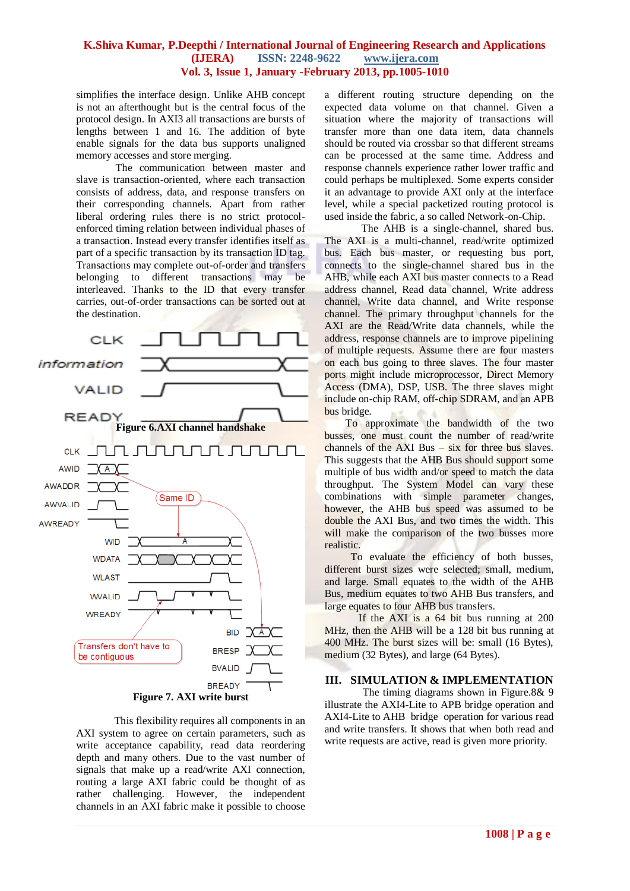simplifies the interface design. Unlike AHB concept is not an afterthought but is the central focus of the protocol design. In AXI3 all transactions are bursts of lengths between 1 and 16. The addition of byte enable signals for the data bus supports unaligned memory accesses and store merging.

 The communication between master and slave is transaction-oriented, where each transaction consists of address, data, and response transfers on their corresponding channels. Apart from rather liberal ordering rules there is no strict protocolenforced timing relation between individual phases of a transaction. Instead every transfer identifies itself as part of a specific transaction by its transaction ID tag. Transactions may complete out-of-order and transfers belonging to different transactions may be interleaved. Thanks to the ID that every transfer carries, out-of-order transactions can be sorted out at the destination.



This flexibility requires all components in an AXI system to agree on certain parameters, such as write acceptance capability, read data reordering depth and many others. Due to the vast number of signals that make up a read/write AXI connection, routing a large AXI fabric could be thought of as rather challenging. However, the independent channels in an AXI fabric make it possible to choose

a different routing structure depending on the expected data volume on that channel. Given a situation where the majority of transactions will transfer more than one data item, data channels should be routed via crossbar so that different streams can be processed at the same time. Address and response channels experience rather lower traffic and could perhaps be multiplexed. Some experts consider it an advantage to provide AXI only at the interface level, while a special packetized routing protocol is used inside the fabric, a so called Network-on-Chip.

 The AHB is a single-channel, shared bus. The AXI is a multi-channel, read/write optimized bus. Each bus master, or requesting bus port, connects to the single-channel shared bus in the AHB, while each AXI bus master connects to a Read address channel, Read data channel, Write address channel, Write data channel, and Write response channel. The primary throughput channels for the AXI are the Read/Write data channels, while the address, response channels are to improve pipelining of multiple requests. Assume there are four masters on each bus going to three slaves. The four master ports might include microprocessor, Direct Memory Access (DMA), DSP, USB. The three slaves might include on-chip RAM, off-chip SDRAM, and an APB bus bridge.

 To approximate the bandwidth of the two busses, one must count the number of read/write channels of the  $AXI$  Bus  $-$  six for three bus slaves. This suggests that the AHB Bus should support some multiple of bus width and/or speed to match the data throughput. The System Model can vary these combinations with simple parameter changes, however, the AHB bus speed was assumed to be double the AXI Bus, and two times the width. This will make the comparison of the two busses more realistic.

 To evaluate the efficiency of both busses, different burst sizes were selected; small, medium, and large. Small equates to the width of the AHB Bus, medium equates to two AHB Bus transfers, and large equates to four AHB bus transfers.

If the AXI is a 64 bit bus running at 200 MHz, then the AHB will be a 128 bit bus running at 400 MHz. The burst sizes will be: small (16 Bytes), medium (32 Bytes), and large (64 Bytes).

#### **III. SIMULATION & IMPLEMENTATION**

The timing diagrams shown in Figure.8& 9 illustrate the AXI4-Lite to APB bridge operation and AXI4-Lite to AHB bridge operation for various read and write transfers. It shows that when both read and write requests are active, read is given more priority.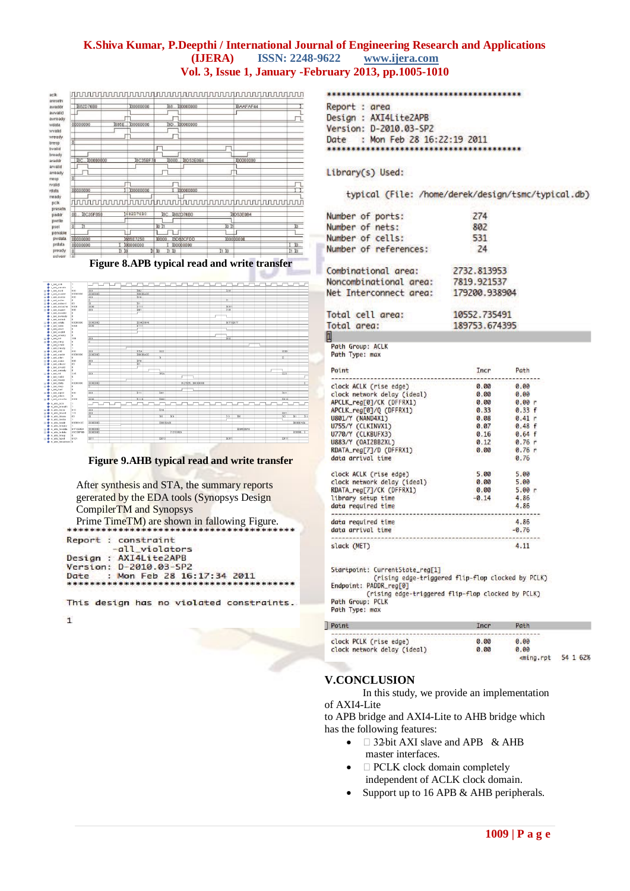| 1682D76B0                     | 100000000         | 100000000<br>68             | <b>ISAAFAF44</b> |  |
|-------------------------------|-------------------|-----------------------------|------------------|--|
|                               |                   |                             |                  |  |
|                               |                   |                             |                  |  |
| 00000000                      | 685E<br>100000000 | GP <sub>1</sub><br>00000000 |                  |  |
|                               |                   |                             |                  |  |
| $\overline{0}$                |                   |                             |                  |  |
|                               |                   |                             |                  |  |
|                               |                   |                             |                  |  |
| 100000000<br>I <sub>8</sub> C | 8C35BF74          | <b>ISD53E0B4</b><br>0000    | (00000000        |  |
|                               |                   |                             |                  |  |
|                               |                   |                             |                  |  |
| $\overline{0}$                |                   |                             |                  |  |
| 00000000                      | 100000000         | 00000000                    |                  |  |
|                               |                   |                             |                  |  |
|                               |                   |                             |                  |  |
|                               |                   |                             |                  |  |
| $\overline{00}$<br>I8C35F850  | 168207680         | 1682D76B0<br><b>BC</b>      | I8D53E0B4        |  |
|                               |                   |                             |                  |  |
| ᆎ<br>'n                       |                   | 'nΙ                         | m                |  |
|                               |                   |                             |                  |  |
| 00000000                      | <b>I685E7250</b>  | 9D83CFDD<br>10000           | 00000000         |  |

## **Figure 8.APB typical read and write transfer**

| $+ 1.44.46$                                     | H.              |                |                         |             |                         |                 |  |       |             |                 |  |                   |            |
|-------------------------------------------------|-----------------|----------------|-------------------------|-------------|-------------------------|-----------------|--|-------|-------------|-----------------|--|-------------------|------------|
| + Land aresets                                  | ×.              |                |                         |             |                         |                 |  |       |             |                 |  |                   |            |
| $x + 1$ , and model                             | om              | 000            | DR.                     |             |                         |                 |  | 3397  |             |                 |  |                   |            |
| $\overline{A}$ $\overline{\Phi}$ 1.4% available | 00000000        | 0000000        | 300000A00               |             |                         |                 |  |       |             |                 |  |                   |            |
| (a) $\Phi$ x and assessme                       | opo             | 220            | 2212                    |             |                         |                 |  |       |             |                 |  |                   |            |
| a $\triangleq$ a and modern                     | $\alpha$        |                |                         |             |                         |                 |  | π     |             |                 |  |                   |            |
| a + s avi aveurst                               | nn.             | 70             | $\overline{331}$        |             |                         |                 |  |       |             |                 |  |                   |            |
| (a) $\Phi$ s and associative                    | opop            | 0000           | $\overline{\text{min}}$ |             |                         |                 |  | 33011 |             |                 |  |                   |            |
| $\mathbf{E}$ $\triangleq$ 1. and moment         | 000             | 000            | <b>Your</b>             |             |                         |                 |  | 1101  |             |                 |  |                   |            |
| + s avi avvalid                                 | n.              |                |                         |             |                         |                 |  |       |             |                 |  |                   |            |
| + s ani avevado                                 | $\alpha$        |                |                         |             |                         |                 |  |       |             |                 |  |                   |            |
| $+$ and motors.                                 | $\alpha$        |                |                         |             |                         |                 |  |       |             |                 |  |                   |            |
| in $\blacklozenge$ s and wideling               | 00000000        | 0000000        | ID54030A6               |             |                         |                 |  |       | XXTF SEG 7F |                 |  |                   |            |
| a de s. del visto                               | onon            | (mm)           | $n_{111}$               |             |                         |                 |  |       |             |                 |  |                   |            |
| <b>Column Inc. 1 Co.</b>                        | $\alpha$<br>la. |                |                         |             |                         |                 |  |       |             |                 |  |                   |            |
| + 1.800 weeks                                   | n.              |                |                         |             |                         |                 |  |       |             |                 |  |                   |            |
| + s avi wready<br><b>GLOBE E. AND THE</b>       | 306             | 000            |                         |             |                         |                 |  | 2052  |             |                 |  |                   |            |
| (i) $\Phi$ 1, and hence                         | $\alpha$        |                |                         |             |                         |                 |  |       |             |                 |  |                   |            |
| + s axi byalid                                  | $\mathbf 0$     |                |                         |             |                         |                 |  |       |             |                 |  |                   |            |
| + 1 avi bready                                  | ×.              |                |                         |             |                         |                 |  |       |             |                 |  |                   |            |
| (a) de 1, and and                               | opo             | 000            | 115A                    | <b>IZZJ</b> |                         |                 |  |       |             |                 |  | <b>DID</b>        |            |
| a + s axi araddr                                | opponent        | <b>MOJOIOT</b> | 2010/00/600             |             |                         |                 |  |       |             |                 |  |                   |            |
| El C si ad adan                                 | 0               | œ              |                         | x           |                         |                 |  |       |             |                 |  | E.                |            |
| (6) + 1_8/4_arates                              | opo             | D20            | $\overline{m}$          |             |                         |                 |  |       |             |                 |  |                   |            |
| a + s axi arburst                               | 00              | 78Y            | 377                     |             |                         |                 |  |       |             |                 |  |                   |            |
| + s avi arvalid                                 | $\alpha$        |                |                         |             |                         |                 |  |       |             |                 |  |                   |            |
| +1_sol_arready                                  | $\alpha$        |                |                         |             |                         |                 |  |       |             |                 |  |                   |            |
| $(4)$ $+$ $  +$ $+$ $-$                         | 3A5             | व्यव           |                         | <b>TISA</b> |                         |                 |  |       |             |                 |  | TZ3               |            |
| + s axi rvalid                                  | n.              |                |                         |             |                         |                 |  |       |             |                 |  |                   |            |
| $+1.84$ meady                                   | п.              |                |                         |             |                         |                 |  |       |             |                 |  |                   |            |
| (6) C 1, and relate                             | 00000000        | 00000003       |                         |             |                         | 121535 E0000000 |  |       |             |                 |  |                   |            |
| a + s axi masp                                  | n.              |                |                         |             |                         |                 |  |       |             |                 |  |                   |            |
| $+ 1.44$ dist                                   | $\alpha$        |                |                         |             |                         |                 |  |       |             |                 |  |                   |            |
| (a) de 1, not argent                            | opo             | 000            | $\overline{1111}$       | 2001        |                         |                 |  |       |             |                 |  | $\overline{D}$ a1 |            |
| + s avi arisck                                  | $\alpha$        |                |                         |             |                         |                 |  |       |             |                 |  |                   |            |
| E + s ad arcache                                | opop            | mon            | 11110                   | linn 1      |                         |                 |  |       |             |                 |  | $\overline{111}$  |            |
| + n_ahb_hclk                                    | ×.              |                |                         |             |                         |                 |  |       |             |                 |  |                   |            |
| + n and hrosets                                 | ×.              |                |                         |             |                         |                 |  |       |             |                 |  |                   |            |
| El C in and haze                                | 010             | 000            |                         | 1010        |                         |                 |  |       |             |                 |  |                   |            |
| ⊕ + n_shb_hburst                                | 111             | 000            |                         |             |                         |                 |  |       |             |                 |  | 1001              |            |
| a + n anti htrans                               | 00              | ख              |                         | 180         | $\overline{\mathbf{M}}$ |                 |  | 110   | YO.         |                 |  | छक                | 155<br>035 |
| + n_atb_twells                                  | ×.              |                |                         |             |                         |                 |  |       |             |                 |  |                   |            |
| a + n_shb_haddr                                 | 00000A3C        | 00000000       |                         | 300002A00   |                         |                 |  |       |             |                 |  |                   | DIODOADA   |
| + n ahb hready                                  |                 |                |                         |             |                         |                 |  |       |             |                 |  |                   |            |
| a <b>+</b> n_ahb_hwdata                         | 61FCE85A        | 00000003       |                         |             |                         |                 |  |       |             | <b>D6413EA6</b> |  |                   |            |
| E + n anti hrdata                               | 35CDRFMR        | 00000000       |                         |             | 312152524               |                 |  |       |             |                 |  |                   | fronts. I  |
| + n ahb hresp                                   |                 |                |                         |             |                         |                 |  |       |             |                 |  |                   |            |
|                                                 | n.              |                |                         |             |                         |                 |  |       |             |                 |  |                   |            |
| a + n and horot                                 | 0101            | 0011           |                         | 35010       |                         |                 |  | 33011 |             |                 |  | <b>THY</b>        |            |

#### **Figure 9.AHB typical read and write transfer**

| After synthesis and STA, the summary reports  |
|-----------------------------------------------|
| gererated by the EDA tools (Synopsys Design   |
| CompilerTM and Synopsys                       |
| Prime Time TM) are shown in fallowing Figure. |
| Report : constraint<br>-all_violators         |
| Design : AXI4Lite2APB                         |
| Version: D-2010.03-SP2                        |
| : Mon Feb 28 16:17:34 2011<br>Date            |
|                                               |

This design has no violated constraints.

 $\mathbf{1}$ 

Report : area Design : AXI4Lite2APB Version: D-2010.03-SP2 Date : Mon Feb 28 16:22:19 2011 

Library(s) Used:

typical (File: /home/derek/design/tsmc/typical.db)

| Number of ports:       | 274           |  |  |  |  |  |
|------------------------|---------------|--|--|--|--|--|
| Number of nets:        | 802           |  |  |  |  |  |
| Number of cells:       | 531           |  |  |  |  |  |
| Number of references:  | 24            |  |  |  |  |  |
| Combinational area:    | 2732.813953   |  |  |  |  |  |
| Noncombinational area: | 7819.921537   |  |  |  |  |  |
| Net Interconnect area: | 179200.938904 |  |  |  |  |  |
| Total cell area:       | 10552.735491  |  |  |  |  |  |
| Total area:            | 189753.674395 |  |  |  |  |  |
| 1                      |               |  |  |  |  |  |
| $DA-h$ Group $hClV$    |               |  |  |  |  |  |

Path Group: ALL<br>Path Type: max

| Point                       | Incr    | Path      |
|-----------------------------|---------|-----------|
| clock ACLK (rise edge)      | 0.00    | 0.00      |
| clock network delay (ideal) | 0.00    | 0.00      |
| APCLK_reg[0]/CK (DFFRX1)    | 0.00    | 0.00r     |
| APCLK_reg[0]/Q (DFFRX1)     | 0.33    | 0.33 f    |
| U801/Y (NAND4X1)            | 0.08    | 0.41<br>n |
| U755/Y (CLKINVX1)           | 0.07    | 0.48 f    |
| U770/Y (CLKBUFX3)           | 0.16    | 0.64 f    |
| U883/Y (OAI2BB2XL)          | 0.12    | 0.76r     |
| RDATA_reg[7]/D (DFFRX1)     | 0.00    | 0.76r     |
| data arrival time           |         | 0.76      |
| clock ACLK (rise edge)      | 5.00    | 5.00      |
| clock network delay (ideal) | 0.00    | 5.00      |
| RDATA_reg[7]/CK (DFFRX1)    | 0.00    | 5.00r     |
| library setup time          | $-0.14$ | 4.86      |
| data required time          |         | 4.86      |
| data required time          |         | 4.86      |
| data arrival time           |         | $-0.76$   |
| slack (MET)                 |         | 4.11      |

Startpoint: CurrentState\_reg[1]

Startpoint: CurrentState\_reg[1]<br>(rising edge-triggered flip-flop clocked by PCLK)<br>Endpoint: PADDR\_reg[0] Ching edge-triggered flip-flop clocked by PCLK)<br>Path Group: PCLK<br>Path Type: max

| Point                       | <b>Incr</b> |                                                |          |
|-----------------------------|-------------|------------------------------------------------|----------|
| clock PCLK (rise edge)      | 0.00        | 0.00                                           |          |
| clock network delay (ideal) | 0.00        | 0.00                                           |          |
|                             |             | <ming.rpt< td=""><td>54 1 62%</td></ming.rpt<> | 54 1 62% |

## **V.CONCLUSION**

In this study, we provide an implementation of AXI4-Lite

to APB bridge and AXI4-Lite to AHB bridge which has the following features:

- $\bullet$   $\Box$  32-bit AXI slave and APB & AHB master interfaces.
- $\bullet$   $\Box$  PCLK clock domain completely independent of ACLK clock domain.
- Support up to 16 APB & AHB peripherals.